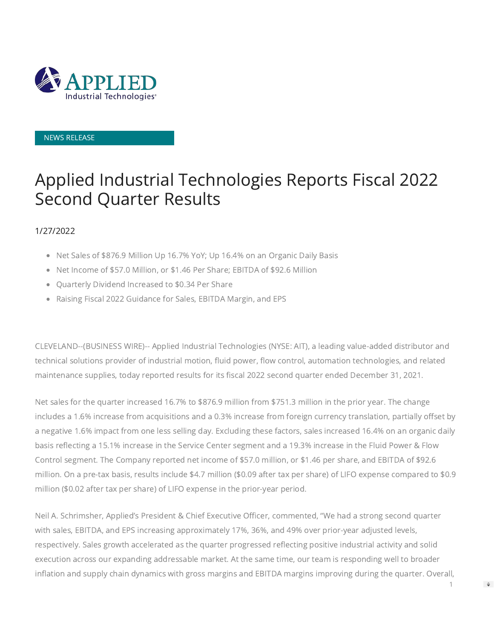

### NEWS RELEASE

# Applied Industrial Technologies Reports Fiscal 2022 Second Quarter Results

### 1/27/2022

- Net Sales of \$876.9 Million Up 16.7% YoY; Up 16.4% on an Organic Daily Basis
- Net Income of \$57.0 Million, or \$1.46 Per Share; EBITDA of \$92.6 Million
- Quarterly Dividend Increased to \$0.34 Per Share
- Raising Fiscal 2022 Guidance for Sales, EBITDA Margin, and EPS

CLEVELAND--(BUSINESS WIRE)-- Applied Industrial Technologies (NYSE: AIT), a leading value-added distributor and technical solutions provider of industrial motion, fluid power, flow control, automation technologies, and related maintenance supplies, today reported results for its fiscal 2022 second quarter ended December 31, 2021.

Net sales for the quarter increased 16.7% to \$876.9 million from \$751.3 million in the prior year. The change includes a 1.6% increase from acquisitions and a 0.3% increase from foreign currency translation, partially offset by a negative 1.6% impact from one less selling day. Excluding these factors, sales increased 16.4% on an organic daily basis reflecting a 15.1% increase in the Service Center segment and a 19.3% increase in the Fluid Power & Flow Control segment. The Company reported net income of \$57.0 million, or \$1.46 per share, and EBITDA of \$92.6 million. On a pre-tax basis, results include \$4.7 million (\$0.09 after tax per share) of LIFO expense compared to \$0.9 million (\$0.02 after tax per share) of LIFO expense in the prior-year period.

Neil A. Schrimsher, Applied's President & Chief Executive Officer, commented, "We had a strong second quarter with sales, EBITDA, and EPS increasing approximately 17%, 36%, and 49% over prior-year adjusted levels, respectively. Sales growth accelerated as the quarter progressed reflecting positive industrial activity and solid execution across our expanding addressable market. At the same time, our team is responding well to broader inflation and supply chain dynamics with gross margins and EBITDA margins improving during the quarter. Overall,

1

 $\Rightarrow$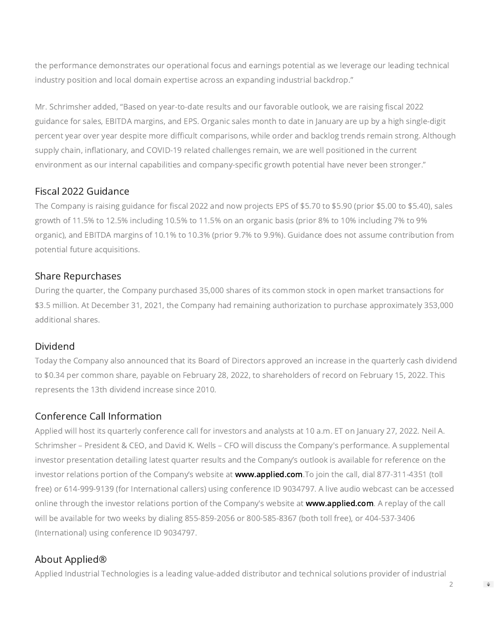the performance demonstrates our operational focus and earnings potential as we leverage our leading technical industry position and local domain expertise across an expanding industrial backdrop."

Mr. Schrimsher added, "Based on year-to-date results and our favorable outlook, we are raising fiscal 2022 guidance for sales, EBITDA margins, and EPS. Organic sales month to date in January are up by a high single-digit percent year over year despite more difficult comparisons, while order and backlog trends remain strong. Although supply chain, inflationary, and COVID-19 related challenges remain, we are well positioned in the current environment as our internal capabilities and company-specific growth potential have never been stronger."

### Fiscal 2022 Guidance

The Company is raising guidance for fiscal 2022 and now projects EPS of \$5.70 to \$5.90 (prior \$5.00 to \$5.40), sales growth of 11.5% to 12.5% including 10.5% to 11.5% on an organic basis (prior 8% to 10% including 7% to 9% organic), and EBITDA margins of 10.1% to 10.3% (prior 9.7% to 9.9%). Guidance does not assume contribution from potential future acquisitions.

### Share Repurchases

During the quarter, the Company purchased 35,000 shares of its common stock in open market transactions for \$3.5 million. At December 31, 2021, the Company had remaining authorization to purchase approximately 353,000 additional shares.

### Dividend

Today the Company also announced that its Board of Directors approved an increase in the quarterly cash dividend to \$0.34 per common share, payable on February 28, 2022, to shareholders of record on February 15, 2022. This represents the 13th dividend increase since 2010.

# Conference Call Information

Applied will host its quarterly conference call for investors and analysts at 10 a.m. ET on January 27, 2022. Neil A. Schrimsher – President & CEO, and David K. Wells – CFO will discuss the Company's performance. A supplemental investor presentation detailing latest quarter results and the Company's outlook is available for reference on the investor relations portion of the Company's website at [www.applied.com.](https://cts.businesswire.com/ct/CT?id=smartlink&url=http%3A%2F%2Fwww.applied.com&esheet=52569327&newsitemid=20220126006042&lan=en-US&anchor=www.applied.com&index=1&md5=2980e6ba63f0629c84a39ed8ae0ec80d)To join the call, dial 877-311-4351 (toll free) or 614-999-9139 (for International callers) using conference ID 9034797. A live audio webcast can be accessed online through the investor relations portion of the Company's website at **www.applied.com**. A replay of the call will be available for two weeks by dialing 855-859-2056 or 800-585-8367 (both toll free), or 404-537-3406 (International) using conference ID 9034797.

# About Applied®

Applied Industrial Technologies is a leading value-added distributor and technical solutions provider of industrial

 $\Rightarrow$ 

 $\mathfrak{D}$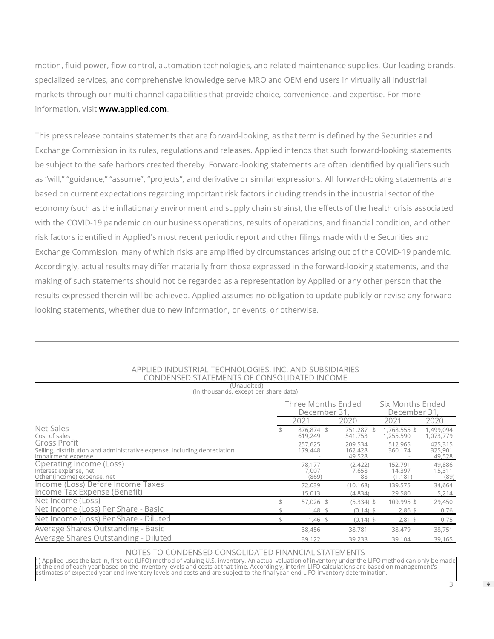motion, fluid power, flow control, automation technologies, and related maintenance supplies. Our leading brands, specialized services, and comprehensive knowledge serve MRO and OEM end users in virtually all industrial markets through our multi-channel capabilities that provide choice, convenience, and expertise. For more information, visit [www.applied.com.](https://cts.businesswire.com/ct/CT?id=smartlink&url=http%3A%2F%2Fwww.applied.com&esheet=52569327&newsitemid=20220126006042&lan=en-US&anchor=www.applied.com&index=3&md5=e030dca904bba5899ba7fac51e7a6a98)

This press release contains statements that are forward-looking, as that term is defined by the Securities and Exchange Commission in its rules, regulations and releases. Applied intends that such forward-looking statements be subject to the safe harbors created thereby. Forward-looking statements are often identified by qualifiers such as "will," "guidance," "assume", "projects", and derivative or similar expressions. All forward-looking statements are based on current expectations regarding important risk factors including trends in the industrial sector of the economy (such as the inflationary environment and supply chain strains), the effects of the health crisis associated with the COVID-19 pandemic on our business operations, results of operations, and financial condition, and other risk factors identified in Applied's most recent periodic report and other filings made with the Securities and Exchange Commission, many of which risks are amplified by circumstances arising out of the COVID-19 pandemic. Accordingly, actual results may differ materially from those expressed in the forward-looking statements, and the making of such statements should not be regarded as a representation by Applied or any other person that the results expressed therein will be achieved. Applied assumes no obligation to update publicly or revise any forwardlooking statements, whether due to new information, or events, or otherwise.

| 1 <i>U</i> Huuultuu<br>(In thousands, except per share data)                                                   |                                   |                                  |                               |                              |
|----------------------------------------------------------------------------------------------------------------|-----------------------------------|----------------------------------|-------------------------------|------------------------------|
|                                                                                                                | Three Months Ended<br>December 31 | Six Months Ended<br>December 31. |                               |                              |
|                                                                                                                | 2021                              | 2020                             | 2021                          | 2020                         |
| Net Sales<br>Cost of sales                                                                                     | 876.874 \$<br>619,249             | 751.287 \$<br>541,753            | 1,768,555 \$<br>,255,590      | 1,499,094<br>1,073,779       |
| Gross Profit<br>Selling, distribution and administrative expense, including depreciation<br>Impairment expense | 257,625<br>179,448                | 209,534<br>162,428<br>49,528     | 512,965<br>360,174            | 425,315<br>325,901<br>49,528 |
| Operating Income (Loss)<br>Interest expense, net<br>Other (income) expense, net                                | 78,177<br>7,007<br>(869)          | (2, 422)<br>7.658<br>88          | 152,791<br>14,397<br>(1, 181) | 49,886<br>15,311<br>(89)     |
| Income (Loss) Before Income Taxes<br>Income Tax Expense (Benefit)                                              | 72,039<br>15,013                  | (10, 168)<br>(4,834)             | 139,575<br>29,580             | 34,664<br>5,214              |
| Net Income (Loss)                                                                                              | 57,026 \$                         | $(5,334)$ \$                     | 109,995 \$                    | 29,450                       |
| Net Income (Loss) Per Share - Basic                                                                            | $1.48$ \$                         | $(0.14)$ \$                      | $2.86$ \$                     | 0.76                         |
| Net Income (Loss) Per Share - Diluted                                                                          | $1.46$ \$                         | $(0.14)$ \$                      | $2.81$ \$                     | 0.75                         |
| Average Shares Outstanding - Basic                                                                             | 38,456                            | 38,781                           | 38,479                        | 38,751                       |
| Average Shares Outstanding - Diluted                                                                           | 39,122                            | 39,233                           | 39,104                        | 39,165                       |

#### APPLIED INDUSTRIAL TECHNOLOGIES, INC. AND SUBSIDIARIES CONDENSED STATEMENTS OF CONSOLIDATED INCOME (Unaudited)

#### NOTES TO CONDENSED CONSOLIDATED FINANCIAL STATEMENTS

1) Applied uses the last-in, first-out (LIFO) method of valuing U.S. inventory. An actual valuation of inventory under the LIFO method can only be made<br>at the end of each year based on the inventory levels and costs at tha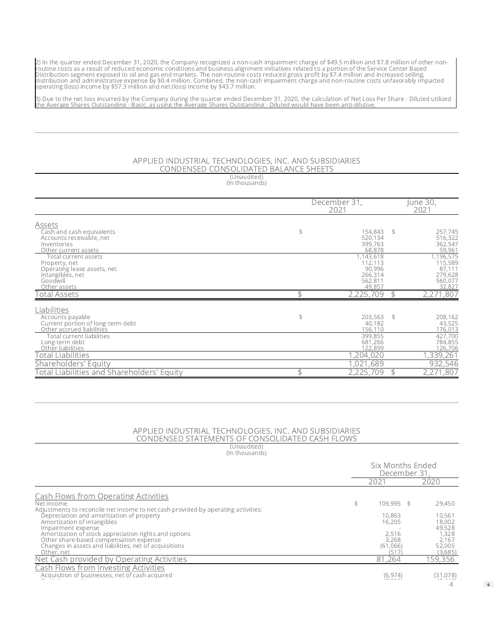2) In the quarter ended December 31, 2020, the Company recognized a non-cash impairment charge of \$49.5 million and \$7.8 million of other non-<br>routine costs as a result of reduced economic conditions and business alignment

3) Due to the net loss incurred by the Company during the quarter ended December 31, 2020, the calculation of Net Loss Per Share - Diluted utilized<br>the Average Shares Outstanding - Basic, as using the Average Shares Outsta

#### APPLIED INDUSTRIAL TECHNOLOGIES, INC. AND SUBSIDIARIES CONDENSED CONSOLIDATED BALANCE SHEETS (Unaudited)

(In thousands)

|                                                        |                      |    | June 30,           |  |  |
|--------------------------------------------------------|----------------------|----|--------------------|--|--|
|                                                        | December 31,<br>2021 |    |                    |  |  |
| Assets                                                 |                      |    |                    |  |  |
| Cash and cash equivalents                              | \$<br>154,843        | \$ | 257,745            |  |  |
| Accounts receivable, net<br>Inventories                | 520,134<br>399,763   |    | 516,322<br>362,547 |  |  |
| Other current assets                                   | 68,878               |    | 59,961             |  |  |
| Total current assets                                   | 1,143,618            |    | 1,196,575          |  |  |
| Property, net                                          | 112,113              |    | 115,589            |  |  |
| Operating lease assets, net<br>Intangibles, net        | 90,996<br>266,314    |    | 87,111<br>279,628  |  |  |
| Goodwill                                               | 562,811              |    | 560,077            |  |  |
| Other assets                                           | 49.857               |    | 32,827             |  |  |
| Total Assets                                           | 2,225,709            | \$ | 2,271,807          |  |  |
| Liabilities                                            |                      |    |                    |  |  |
| Accounts payable                                       | \$<br>203,563        | \$ | 208,162            |  |  |
| Current portion of long-term debt                      | 40,182               |    | 43,525             |  |  |
| Other accrued liabilities<br>Total current liabilities | 156,110<br>399,855   |    | 176,013<br>427,700 |  |  |
| Long-term debt                                         | 681,266              |    | 784,855            |  |  |
| Other liabilities                                      | 122,899              |    | 126,706            |  |  |
| Total Liabilities                                      | .204.020             |    | 1,339,261          |  |  |
| Shareholders' Equity                                   | ,689                 |    | 932,546            |  |  |
| <b>Total Liabilities and Shareholders' Equity</b>      | 2,225,<br>709        | \$ | 2,271,807          |  |  |

#### APPLIED INDUSTRIAL TECHNOLOGIES, INC. AND SUBSIDIARIES CONDENSED STATEMENTS OF CONSOLIDATED CASH FLOWS

(Unaudited) (In thousands)

|                                                                                                                                                                                                                                                                           |      | Six Months Ended<br>December 31                        |  |                                                                   |  |
|---------------------------------------------------------------------------------------------------------------------------------------------------------------------------------------------------------------------------------------------------------------------------|------|--------------------------------------------------------|--|-------------------------------------------------------------------|--|
|                                                                                                                                                                                                                                                                           | 202' |                                                        |  | 2020                                                              |  |
| <b>Cash Flows from Operating Activities</b><br>Net income<br>Adjustments to reconcile net income to net cash provided by operating activities:                                                                                                                            |      | 109,995 \$                                             |  | 29,450                                                            |  |
| Depreciation and amortization of property<br>Amortization of intangibles<br>Impairment expense<br>Amortization of stock appreciation rights and options<br>Other share-based compensation expense<br>Changes in assets and liabilities, net of acquisitions<br>Other, net |      | 10,863<br>16,205<br>2.516<br>3.268<br>(61.066)<br>(517 |  | 10,561<br>18,002<br>49,528<br>1,328<br>2.167<br>52,005<br>(3,685) |  |
| Net Cash provided by Operating Activities                                                                                                                                                                                                                                 |      | 81,264                                                 |  | 159,356                                                           |  |
| <b>Cash Flows from Investing Activities</b><br>Acquisition of businesses, net of cash acquired                                                                                                                                                                            |      | (6, 974)                                               |  | (31,078)                                                          |  |

 $\Rightarrow$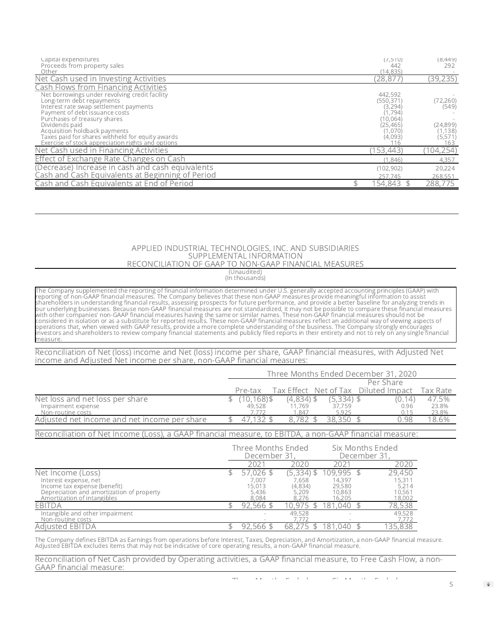| Capital expenditures<br>Proceeds from property sales<br>Other                                                                                                                                                                                                                             | (7,510)<br>442<br>(14, 835)                                                       | (8,449)<br>292                              |
|-------------------------------------------------------------------------------------------------------------------------------------------------------------------------------------------------------------------------------------------------------------------------------------------|-----------------------------------------------------------------------------------|---------------------------------------------|
| Net Cash used in Investing Activities                                                                                                                                                                                                                                                     | (28,877)                                                                          | (39, 235)                                   |
| <b>Cash Flows from Financing Activities</b><br>Net borrowings under revolving credit facility<br>Long-term debt repayments<br>Interest rate swap settlement payments<br>Payment of debt issuance costs<br>Purchases of treasury shares<br>Dividends paid<br>Acquisition holdback payments | 442,592<br>(550, 371)<br>(3, 294)<br>(1, 794)<br>(10,064)<br>(25, 465)<br>(1,070) | (72, 260)<br>(549)<br>(24, 899)<br>(1, 138) |
| Taxes paid for shares withheld for equity awards<br>Exercise of stock appreciation rights and options                                                                                                                                                                                     | (4,093)<br>116                                                                    | (5, 571)<br>163                             |
| Net Cash used in Financing Activities                                                                                                                                                                                                                                                     | 153,443)                                                                          | 104,254)                                    |
| Effect of Exchange Rate Changes on Cash                                                                                                                                                                                                                                                   | (1.846)                                                                           | 4,357                                       |
| (Decrease) Increase in cash and cash equivalents<br>Cash and Cash Equivalents at Beginning of Period                                                                                                                                                                                      | (102, 902)<br>257.745                                                             | 20,224<br>268,551                           |
| Cash and Cash Equivalents at End of Period                                                                                                                                                                                                                                                | 154,843                                                                           | 288,775                                     |

#### APPLIED INDUSTRIAL TECHNOLOGIES, INC. AND SUBSIDIARIES SUPPLEMENTAL INFORMATION RECONCILIATION OF GAAP TO NON-GAAP FINANCIAL MEASURES

(Unaudited)

(In thousands)

The Company supplemented the reporting of financial information determined under U.S. generally accepted accounting principles (GAAP) with<br>reporting of non-GAAP financial measures. The Company believes that these non-GAAP measure.

Reconciliation of Net (loss) income and Net (loss) income per share, GAAP financial measures, with Adjusted Net income and Adjusted Net income per share, non-GAAP financial measures:

|                                              | Three Months Ended December 31, 2020 |            |              |  |                                          |  |        |          |  |
|----------------------------------------------|--------------------------------------|------------|--------------|--|------------------------------------------|--|--------|----------|--|
|                                              | Per Share                            |            |              |  |                                          |  |        |          |  |
|                                              |                                      | Pre-tax    |              |  | Tax Effect   Net of Tax   Diluted Impact |  |        | Tax Rate |  |
| Net loss and net loss per share              |                                      | (10,168)\$ | $(4,834)$ \$ |  | $(5,334)$ \$                             |  | (0.14) | 47.5%    |  |
| Impairment expense                           |                                      | 49,528     | 11.769       |  | 37.759                                   |  | 0.96   | 23.8%    |  |
| Non-routine costs                            |                                      |            | .847         |  | 5.925                                    |  | 0.15   | 23.8%    |  |
| Adjusted net income and net income per share |                                      |            | 8.782        |  | 38.350                                   |  | J.98   | '8.6%    |  |
|                                              |                                      |            |              |  |                                          |  |        |          |  |

Reconciliation of Net Income (Loss), a GAAP financial measure, to EBITDA, a non-GAAP financial measure:

|                                                                                                          | Three Months Ended<br>December 31 |                           | Six Months Ended<br>December 31 |  |                           |
|----------------------------------------------------------------------------------------------------------|-----------------------------------|---------------------------|---------------------------------|--|---------------------------|
|                                                                                                          | 202 <sup>.</sup>                  | 2020                      | 2021                            |  | 2020                      |
| Net Income (Loss)                                                                                        | 57.026                            | (5,334) \$                | 109.995                         |  | 29,450                    |
| Interest expense, net                                                                                    | 7.007<br>15,013                   | 7.658                     | 14.397                          |  | 15,311                    |
| Income tax expense (benefit)<br>Depreciation and amortization of property<br>Amortization of intangibles | 5.436<br>8.084                    | (4,834)<br>5,209<br>8.276 | 29,580<br>10,863<br>16,205      |  | 5,214<br>10,561<br>18,002 |
| <b>FBITDA</b>                                                                                            | $92,566$ \$                       | 10.975                    | 181.040                         |  | 78,538                    |
| Intangible and other impairment<br>Non-routine costs                                                     |                                   | 49.528                    | $\overline{\phantom{a}}$        |  | 49,528<br>7,772           |
| Adiusted EBITDA                                                                                          | 92,566                            | 68,275                    | 181.040                         |  | 35,838                    |

The Company defines EBITDA as Earnings from operations before Interest, Taxes, Depreciation, and Amortization, a non-GAAP financial measure.<br>Adjusted EBITDA excludes items that may not be indicative of core operating resul

Reconciliation of Net Cash provided by Operating activities, a GAAP financial measure, to Free Cash Flow, a non-GAAP financial measure:

The M th E d d  $\sim$  M th E d d

 $\Rightarrow$